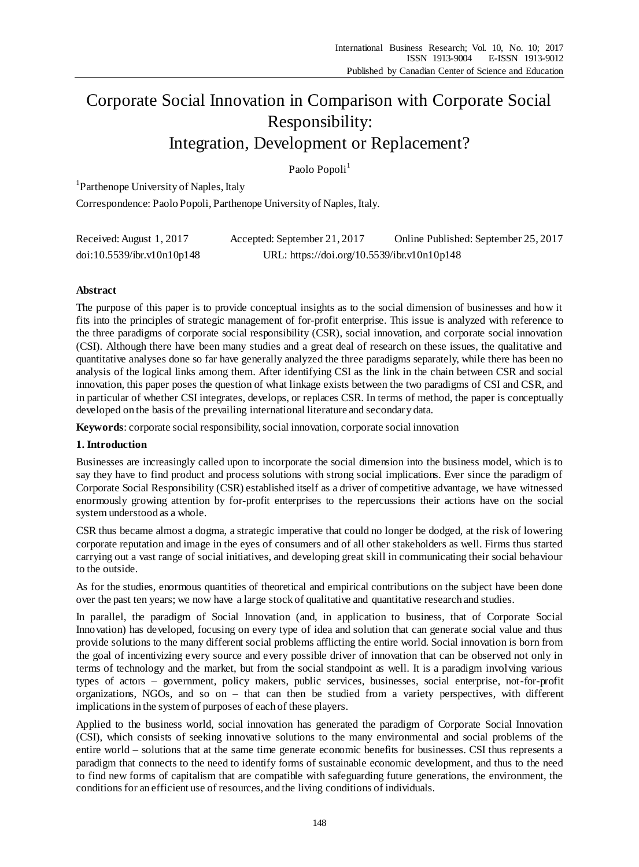# Corporate Social Innovation in Comparison with Corporate Social Responsibility: Integration, Development or Replacement?

Paolo Popoli<sup>1</sup>

<sup>1</sup> Parthenope University of Naples, Italy

Correspondence: Paolo Popoli, Parthenope University of Naples, Italy.

| Received: August 1, 2017   | Accepted: September 21, 2017                | Online Published: September 25, 2017 |
|----------------------------|---------------------------------------------|--------------------------------------|
| doi:10.5539/ibr.v10n10p148 | URL: https://doi.org/10.5539/ibr.v10n10p148 |                                      |

## **Abstract**

The purpose of this paper is to provide conceptual insights as to the social dimension of businesses and how it fits into the principles of strategic management of for-profit enterprise. This issue is analyzed with reference to the three paradigms of corporate social responsibility (CSR), social innovation, and corporate social innovation (CSI). Although there have been many studies and a great deal of research on these issues, the qualitative and quantitative analyses done so far have generally analyzed the three paradigms separately, while there has been no analysis of the logical links among them. After identifying CSI as the link in the chain between CSR and social innovation, this paper poses the question of what linkage exists between the two paradigms of CSI and CSR, and in particular of whether CSI integrates, develops, or replaces CSR. In terms of method, the paper is conceptually developed on the basis of the prevailing international literature and secondary data.

**Keywords**: corporate social responsibility, social innovation, corporate social innovation

## **1. Introduction**

Businesses are increasingly called upon to incorporate the social dimension into the business model, which is to say they have to find product and process solutions with strong social implications. Ever since the paradigm of Corporate Social Responsibility (CSR) established itself as a driver of competitive advantage, we have witnessed enormously growing attention by for-profit enterprises to the repercussions their actions have on the social system understood as a whole.

CSR thus became almost a dogma, a strategic imperative that could no longer be dodged, at the risk of lowering corporate reputation and image in the eyes of consumers and of all other stakeholders as well. Firms thus started carrying out a vast range of social initiatives, and developing great skill in communicating their social behaviour to the outside.

As for the studies, enormous quantities of theoretical and empirical contributions on the subject have been done over the past ten years; we now have a large stock of qualitative and quantitative research and studies.

In parallel, the paradigm of Social Innovation (and, in application to business, that of Corporate Social Innovation) has developed, focusing on every type of idea and solution that can generate social value and thus provide solutions to the many different social problems afflicting the entire world. Social innovation is born from the goal of incentivizing every source and every possible driver of innovation that can be observed not only in terms of technology and the market, but from the social standpoint as well. It is a paradigm involving various types of actors – government, policy makers, public services, businesses, social enterprise, not-for-profit organizations, NGOs, and so on – that can then be studied from a variety perspectives, with different implications in the system of purposes of each of these players.

Applied to the business world, social innovation has generated the paradigm of Corporate Social Innovation (CSI), which consists of seeking innovative solutions to the many environmental and social problems of the entire world – solutions that at the same time generate economic benefits for businesses. CSI thus represents a paradigm that connects to the need to identify forms of sustainable economic development, and thus to the need to find new forms of capitalism that are compatible with safeguarding future generations, the environment, the conditions for an efficient use of resources, and the living conditions of individuals.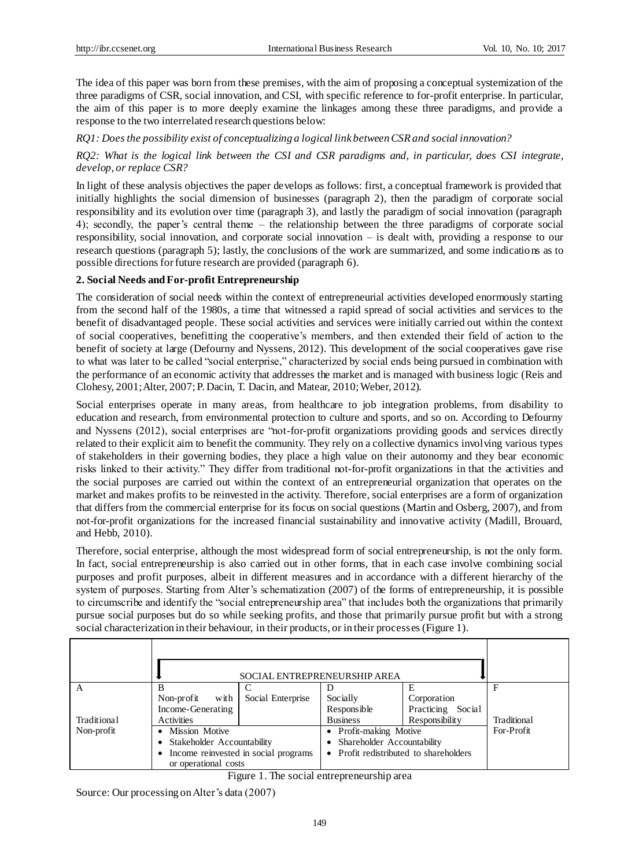The idea of this paper was born from these premises, with the aim of proposing a conceptual systemization of the three paradigms of CSR, social innovation, and CSI, with specific reference to for-profit enterprise. In particular, the aim of this paper is to more deeply examine the linkages among these three paradigms, and provide a response to the two interrelated research questions below:

*RQ1: Does the possibility exist of conceptualizing a logical link between CSR and social innovation?*

## *RQ2: What is the logical link between the CSI and CSR paradigms and, in particular, does CSI integrate, develop, or replace CSR?*

In light of these analysis objectives the paper develops as follows: first, a conceptual framework is provided that initially highlights the social dimension of businesses (paragraph 2), then the paradigm of corporate social responsibility and its evolution over time (paragraph 3), and lastly the paradigm of social innovation (paragraph 4); secondly, the paper's central theme – the relationship between the three paradigms of corporate social responsibility, social innovation, and corporate social innovation – is dealt with, providing a response to our research questions (paragraph 5); lastly, the conclusions of the work are summarized, and some indications as to possible directions for future research are provided (paragraph 6).

#### **2. Social Needs and For-profit Entrepreneurship**

The consideration of social needs within the context of entrepreneurial activities developed enormously starting from the second half of the 1980s, a time that witnessed a rapid spread of social activities and services to the benefit of disadvantaged people. These social activities and services were initially carried out within the context of social cooperatives, benefitting the cooperative's members, and then extended their field of action to the benefit of society at large (Defourny and Nyssens, 2012). This development of the social cooperatives gave rise to what was later to be called "social enterprise," characterized by social ends being pursued in combination with the performance of an economic activity that addresses the market and is managed with business logic (Reis and Clohesy, 2001; Alter, 2007; P. Dacin, T. Dacin, and Matear, 2010; Weber, 2012).

Social enterprises operate in many areas, from healthcare to job integration problems, from disability to education and research, from environmental protection to culture and sports, and so on. According to Defourny and Nyssens (2012), social enterprises are "not-for-profit organizations providing goods and services directly related to their explicit aim to benefit the community. They rely on a collective dynamics involving various types of stakeholders in their governing bodies, they place a high value on their autonomy and they bear economic risks linked to their activity." They differ from traditional not-for-profit organizations in that the activities and the social purposes are carried out within the context of an entrepreneurial organization that operates on the market and makes profits to be reinvested in the activity. Therefore, social enterprises are a form of organization that differs from the commercial enterprise for its focus on social questions (Martin and Osberg, 2007), and from not-for-profit organizations for the increased financial sustainability and innovative activity (Madill, Brouard, and Hebb, 2010).

Therefore, social enterprise, although the most widespread form of social entrepreneurship, is not the only form. In fact, social entrepreneurship is also carried out in other forms, that in each case involve combining social purposes and profit purposes, albeit in different measures and in accordance with a different hierarchy of the system of purposes. Starting from Alter's schematization (2007) of the forms of entrepreneurship, it is possible to circumscribe and identify the "social entrepreneurship area" that includes both the organizations that primarily pursue social purposes but do so while seeking profits, and those that primarily pursue profit but with a strong social characterization in their behaviour, in their products, or in their processes (Figure 1).

|                            |                                      |                            | SOCIAL ENTREPRENEURSHIP AREA           |                   |             |
|----------------------------|--------------------------------------|----------------------------|----------------------------------------|-------------------|-------------|
| A                          |                                      |                            |                                        |                   | F           |
|                            | with<br>Non-profit                   | Social Enterprise          | Socially                               | Corporation       |             |
|                            | Income-Generating                    |                            | Responsible                            | Practicing Social |             |
| Traditional                | Activities                           |                            | <b>Business</b>                        | Responsibility    | Traditional |
| Non-profit                 | • Mission Motive                     |                            | • Profit-making Motive                 |                   | For-Profit  |
| Stakeholder Accountability |                                      | Shareholder Accountability |                                        |                   |             |
|                            | Income reinvested in social programs |                            | • Profit redistributed to shareholders |                   |             |
| or operational costs       |                                      |                            |                                        |                   |             |

Figure 1. The social entrepreneurship area

Source: Our processing onAlter's data (2007)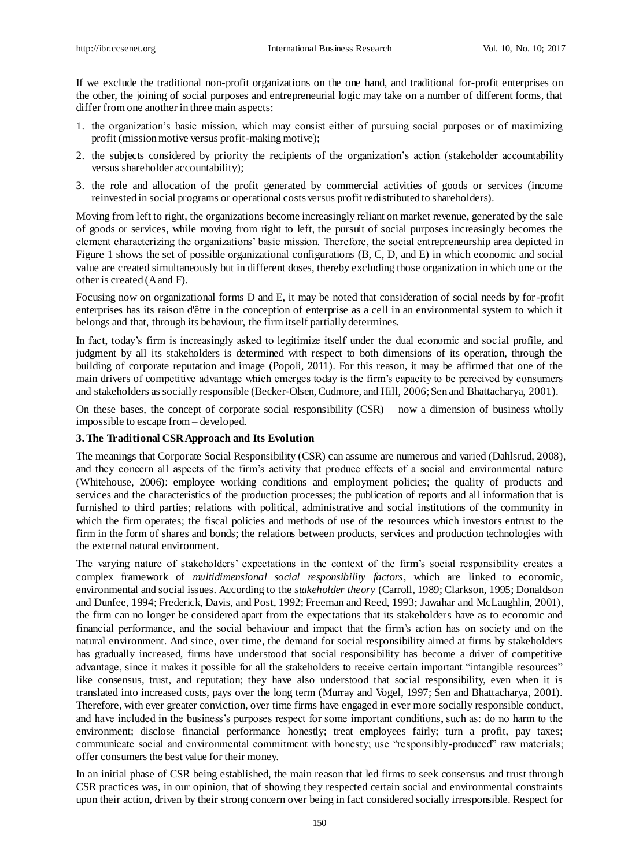If we exclude the traditional non-profit organizations on the one hand, and traditional for-profit enterprises on the other, the joining of social purposes and entrepreneurial logic may take on a number of different forms, that differ from one another in three main aspects:

- 1. the organization's basic mission, which may consist either of pursuing social purposes or of maximizing profit (mission motive versus profit-making motive);
- 2. the subjects considered by priority the recipients of the organization's action (stakeholder accountability versus shareholder accountability);
- 3. the role and allocation of the profit generated by commercial activities of goods or services (income reinvested in social programs or operational costs versus profit redistributed to shareholders).

Moving from left to right, the organizations become increasingly reliant on market revenue, generated by the sale of goods or services, while moving from right to left, the pursuit of social purposes increasingly becomes the element characterizing the organizations' basic mission. Therefore, the social entrepreneurship area depicted in Figure 1 shows the set of possible organizational configurations (B, C, D, and E) in which economic and social value are created simultaneously but in different doses, thereby excluding those organization in which one or the other is created (A and F).

Focusing now on organizational forms D and E, it may be noted that consideration of social needs by for-profit enterprises has its raison d'être in the conception of enterprise as a cell in an environmental system to which it belongs and that, through its behaviour, the firm itself partially determines.

In fact, today's firm is increasingly asked to legitimize itself under the dual economic and soc ial profile, and judgment by all its stakeholders is determined with respect to both dimensions of its operation, through the building of corporate reputation and image (Popoli, 2011). For this reason, it may be affirmed that one of the main drivers of competitive advantage which emerges today is the firm's capacity to be perceived by consumers and stakeholders as socially responsible (Becker-Olsen, Cudmore, and Hill, 2006; Sen and Bhattacharya, 2001).

On these bases, the concept of corporate social responsibility  $(CSR)$  – now a dimension of business wholly impossible to escape from – developed.

## **3. The Traditional CSR Approach and Its Evolution**

The meanings that Corporate Social Responsibility (CSR) can assume are numerous and varied (Dahlsrud, 2008), and they concern all aspects of the firm's activity that produce effects of a social and environmental nature (Whitehouse, 2006): employee working conditions and employment policies; the quality of products and services and the characteristics of the production processes; the publication of reports and all information that is furnished to third parties; relations with political, administrative and social institutions of the community in which the firm operates; the fiscal policies and methods of use of the resources which investors entrust to the firm in the form of shares and bonds; the relations between products, services and production technologies with the external natural environment.

The varying nature of stakeholders' expectations in the context of the firm's social responsibility creates a complex framework of *multidimensional social responsibility factors*, which are linked to economic, environmental and social issues. According to the *stakeholder theory* (Carroll, 1989; Clarkson, 1995; Donaldson and Dunfee, 1994; Frederick, Davis, and Post, 1992; Freeman and Reed, 1993; Jawahar and McLaughlin, 2001), the firm can no longer be considered apart from the expectations that its stakeholders have as to economic and financial performance, and the social behaviour and impact that the firm's action has on society and on the natural environment. And since, over time, the demand for social responsibility aimed at firms by stakeholders has gradually increased, firms have understood that social responsibility has become a driver of competitive advantage, since it makes it possible for all the stakeholders to receive certain important "intangible resources" like consensus, trust, and reputation; they have also understood that social responsibility, even when it is translated into increased costs, pays over the long term (Murray and Vogel, 1997; Sen and Bhattacharya, 2001). Therefore, with ever greater conviction, over time firms have engaged in ever more socially responsible conduct, and have included in the business's purposes respect for some important conditions, such as: do no harm to the environment; disclose financial performance honestly; treat employees fairly; turn a profit, pay taxes; communicate social and environmental commitment with honesty; use "responsibly-produced" raw materials; offer consumers the best value for their money.

In an initial phase of CSR being established, the main reason that led firms to seek consensus and trust through CSR practices was, in our opinion, that of showing they respected certain social and environmental constraints upon their action, driven by their strong concern over being in fact considered socially irresponsible. Respect for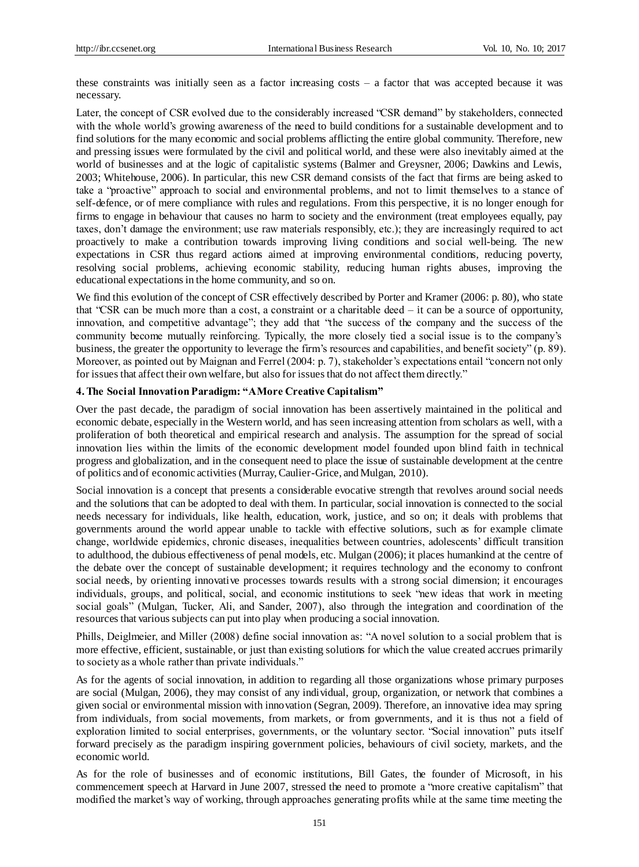these constraints was initially seen as a factor increasing costs – a factor that was accepted because it was necessary.

Later, the concept of CSR evolved due to the considerably increased "CSR demand" by stakeholders, connected with the whole world's growing awareness of the need to build conditions for a sustainable development and to find solutions for the many economic and social problems afflicting the entire global community. Therefore, new and pressing issues were formulated by the civil and political world, and these were also inevitably aimed at the world of businesses and at the logic of capitalistic systems (Balmer and Greysner, 2006; Dawkins and Lewis, 2003; Whitehouse, 2006). In particular, this new CSR demand consists of the fact that firms are being asked to take a "proactive" approach to social and environmental problems, and not to limit themselves to a stance of self-defence, or of mere compliance with rules and regulations. From this perspective, it is no longer enough for firms to engage in behaviour that causes no harm to society and the environment (treat employees equally, pay taxes, don't damage the environment; use raw materials responsibly, etc.); they are increasingly required to act proactively to make a contribution towards improving living conditions and social well-being. The new expectations in CSR thus regard actions aimed at improving environmental conditions, reducing poverty, resolving social problems, achieving economic stability, reducing human rights abuses, improving the educational expectations in the home community, and so on.

We find this evolution of the concept of CSR effectively described by Porter and Kramer (2006: p. 80), who state that "CSR can be much more than a cost, a constraint or a charitable deed – it can be a source of opportunity, innovation, and competitive advantage"; they add that "the success of the company and the success of the community become mutually reinforcing. Typically, the more closely tied a social issue is to the company's business, the greater the opportunity to leverage the firm's resources and capabilities, and benefit society" (p. 89). Moreover, as pointed out by Maignan and Ferrel (2004: p. 7), stakeholder's expectations entail "concern not only for issues that affect their own welfare, but also for issues that do not affect them directly."

#### **4. The Social Innovation Paradigm: "A More Creative Capitalism"**

Over the past decade, the paradigm of social innovation has been assertively maintained in the political and economic debate, especially in the Western world, and has seen increasing attention from scholars as well, with a proliferation of both theoretical and empirical research and analysis. The assumption for the spread of social innovation lies within the limits of the economic development model founded upon blind faith in technical progress and globalization, and in the consequent need to place the issue of sustainable development at the centre of politics and of economic activities (Murray, Caulier-Grice, and Mulgan, 2010).

Social innovation is a concept that presents a considerable evocative strength that revolves around social needs and the solutions that can be adopted to deal with them. In particular, social innovation is connected to the social needs necessary for individuals, like health, education, work, justice, and so on; it deals with problems that governments around the world appear unable to tackle with effective solutions, such as for example climate change, worldwide epidemics, chronic diseases, inequalities between countries, adolescents' difficult transition to adulthood, the dubious effectiveness of penal models, etc. Mulgan (2006); it places humankind at the centre of the debate over the concept of sustainable development; it requires technology and the economy to confront social needs, by orienting innovative processes towards results with a strong social dimension; it encourages individuals, groups, and political, social, and economic institutions to seek "new ideas that work in meeting social goals" (Mulgan, Tucker, Ali, and Sander, 2007), also through the integration and coordination of the resources that various subjects can put into play when producing a social innovation.

Phills, Deiglmeier, and Miller (2008) define social innovation as: "A novel solution to a social problem that is more effective, efficient, sustainable, or just than existing solutions for which the value created accrues primarily to society as a whole rather than private individuals."

As for the agents of social innovation, in addition to regarding all those organizations whose primary purposes are social (Mulgan, 2006), they may consist of any individual, group, organization, or network that combines a given social or environmental mission with innovation (Segran, 2009). Therefore, an innovative idea may spring from individuals, from social movements, from markets, or from governments, and it is thus not a field of exploration limited to social enterprises, governments, or the voluntary sector. "Social innovation" puts itself forward precisely as the paradigm inspiring government policies, behaviours of civil society, markets, and the economic world.

As for the role of businesses and of economic institutions, Bill Gates, the founder of Microsoft, in his commencement speech at Harvard in June 2007, stressed the need to promote a "more creative capitalism" that modified the market's way of working, through approaches generating profits while at the same time meeting the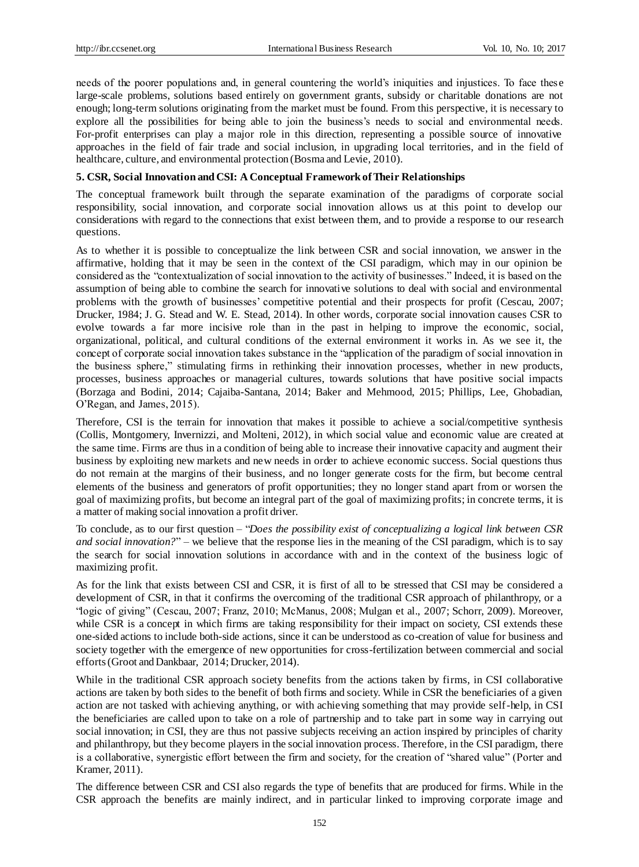needs of the poorer populations and, in general countering the world's iniquities and injustices. To face thes e large-scale problems, solutions based entirely on government grants, subsidy or charitable donations are not enough; long-term solutions originating from the market must be found. From this perspective, it is necessary to explore all the possibilities for being able to join the business's needs to social and environmental needs. For-profit enterprises can play a major role in this direction, representing a possible source of innovative approaches in the field of fair trade and social inclusion, in upgrading local territories, and in the field of healthcare, culture, and environmental protection (Bosma and Levie, 2010).

# **5. CSR, Social Innovation and CSI: A Conceptual Framework of Their Relationships**

The conceptual framework built through the separate examination of the paradigms of corporate social responsibility, social innovation, and corporate social innovation allows us at this point to develop our considerations with regard to the connections that exist between them, and to provide a response to our research questions.

As to whether it is possible to conceptualize the link between CSR and social innovation, we answer in the affirmative, holding that it may be seen in the context of the CSI paradigm, which may in our opinion be considered as the "contextualization of social innovation to the activity of businesses." Indeed, it is based on the assumption of being able to combine the search for innovative solutions to deal with social and environmental problems with the growth of businesses' competitive potential and their prospects for profit (Cescau, 2007; Drucker, 1984; J. G. Stead and W. E. Stead, 2014). In other words, corporate social innovation causes CSR to evolve towards a far more incisive role than in the past in helping to improve the economic, social, organizational, political, and cultural conditions of the external environment it works in. As we see it, the concept of corporate social innovation takes substance in the "application of the paradigm of social innovation in the business sphere," stimulating firms in rethinking their innovation processes, whether in new products, processes, business approaches or managerial cultures, towards solutions that have positive social impacts (Borzaga and Bodini, 2014; Cajaiba-Santana, 2014; Baker and Mehmood, 2015; Phillips, Lee, Ghobadian, O'Regan, and James, 2015).

Therefore, CSI is the terrain for innovation that makes it possible to achieve a social/competitive synthesis (Collis, Montgomery, Invernizzi, and Molteni, 2012), in which social value and economic value are created at the same time. Firms are thus in a condition of being able to increase their innovative capacity and augment their business by exploiting new markets and new needs in order to achieve economic success. Social questions thus do not remain at the margins of their business, and no longer generate costs for the firm, but become central elements of the business and generators of profit opportunities; they no longer stand apart from or worsen the goal of maximizing profits, but become an integral part of the goal of maximizing profits; in concrete terms, it is a matter of making social innovation a profit driver.

To conclude, as to our first question – "*Does the possibility exist of conceptualizing a logical link between CSR and social innovation?*" – we believe that the response lies in the meaning of the CSI paradigm, which is to say the search for social innovation solutions in accordance with and in the context of the business logic of maximizing profit.

As for the link that exists between CSI and CSR, it is first of all to be stressed that CSI may be considered a development of CSR, in that it confirms the overcoming of the traditional CSR approach of philanthropy, or a "logic of giving" (Cescau, 2007; Franz, 2010; McManus, 2008; Mulgan et al., 2007; Schorr, 2009). Moreover, while CSR is a concept in which firms are taking responsibility for their impact on society, CSI extends these one-sided actions to include both-side actions, since it can be understood as co-creation of value for business and society together with the emergence of new opportunities for cross-fertilization between commercial and social efforts (Groot and Dankbaar, 2014; Drucker, 2014).

While in the traditional CSR approach society benefits from the actions taken by firms, in CSI collaborative actions are taken by both sides to the benefit of both firms and society. While in CSR the beneficiaries of a given action are not tasked with achieving anything, or with achieving something that may provide self-help, in CSI the beneficiaries are called upon to take on a role of partnership and to take part in some way in carrying out social innovation; in CSI, they are thus not passive subjects receiving an action inspired by principles of charity and philanthropy, but they become players in the social innovation process. Therefore, in the CSI paradigm, there is a collaborative, synergistic effort between the firm and society, for the creation of "shared value" (Porter and Kramer, 2011).

The difference between CSR and CSI also regards the type of benefits that are produced for firms. While in the CSR approach the benefits are mainly indirect, and in particular linked to improving corporate image and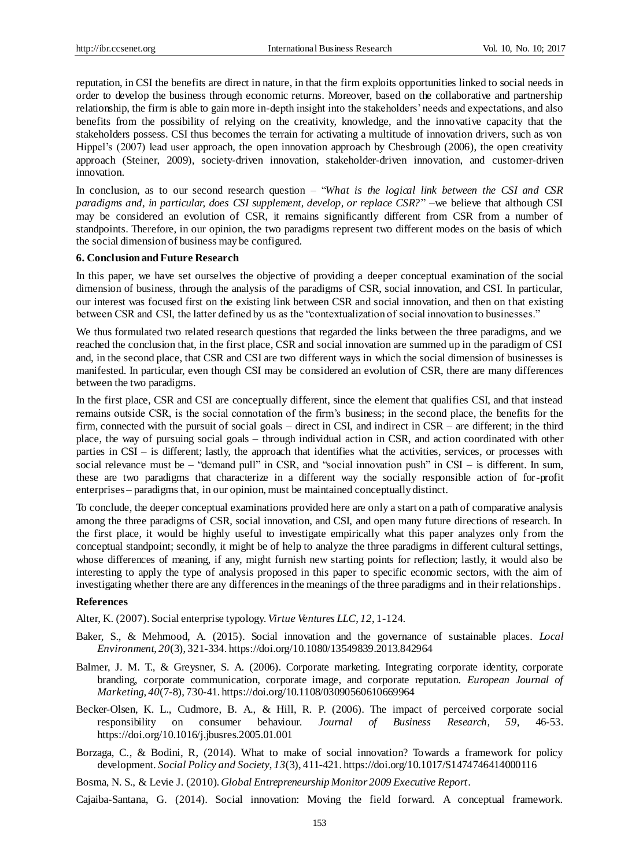reputation, in CSI the benefits are direct in nature, in that the firm exploits opportunities linked to social needs in order to develop the business through economic returns. Moreover, based on the collaborative and partnership relationship, the firm is able to gain more in-depth insight into the stakeholders' needs and expectations, and also benefits from the possibility of relying on the creativity, knowledge, and the innovative capacity that the stakeholders possess. CSI thus becomes the terrain for activating a multitude of innovation drivers, such as von Hippel's (2007) lead user approach, the open innovation approach by Chesbrough (2006), the open creativity approach (Steiner, 2009), society-driven innovation, stakeholder-driven innovation, and customer-driven innovation.

In conclusion, as to our second research question – "*What is the logical link between the CSI and CSR paradigms and, in particular, does CSI supplement, develop, or replace CSR?*" –we believe that although CSI may be considered an evolution of CSR, it remains significantly different from CSR from a number of standpoints. Therefore, in our opinion, the two paradigms represent two different modes on the basis of which the social dimension of business may be configured.

#### **6. Conclusion and Future Research**

In this paper, we have set ourselves the objective of providing a deeper conceptual examination of the social dimension of business, through the analysis of the paradigms of CSR, social innovation, and CSI. In particular, our interest was focused first on the existing link between CSR and social innovation, and then on that existing between CSR and CSI, the latter defined by us as the "contextualization of social innovation to businesses."

We thus formulated two related research questions that regarded the links between the three paradigms, and we reached the conclusion that, in the first place, CSR and social innovation are summed up in the paradigm of CSI and, in the second place, that CSR and CSI are two different ways in which the social dimension of businesses is manifested. In particular, even though CSI may be considered an evolution of CSR, there are many differences between the two paradigms.

In the first place, CSR and CSI are conceptually different, since the element that qualifies CSI, and that instead remains outside CSR, is the social connotation of the firm's business; in the second place, the benefits for the firm, connected with the pursuit of social goals – direct in CSI, and indirect in CSR – are different; in the third place, the way of pursuing social goals – through individual action in CSR, and action coordinated with other parties in CSI – is different; lastly, the approach that identifies what the activities, services, or processes with social relevance must be – "demand pull" in CSR, and "social innovation push" in CSI – is different. In sum, these are two paradigms that characterize in a different way the socially responsible action of for-profit enterprises – paradigms that, in our opinion, must be maintained conceptually distinct.

To conclude, the deeper conceptual examinations provided here are only a start on a path of comparative analysis among the three paradigms of CSR, social innovation, and CSI, and open many future directions of research. In the first place, it would be highly useful to investigate empirically what this paper analyzes only from the conceptual standpoint; secondly, it might be of help to analyze the three paradigms in different cultural settings, whose differences of meaning, if any, might furnish new starting points for reflection; lastly, it would also be interesting to apply the type of analysis proposed in this paper to specific economic sectors, with the aim of investigating whether there are any differences in the meanings of the three paradigms and in their relationships.

#### **References**

Alter, K. (2007). Social enterprise typology. *Virtue Ventures LLC*, *12*, 1-124.

- Baker, S., & Mehmood, A. (2015). Social innovation and the governance of sustainable places. *Local Environment*, *20*(3), 321-334[. https://doi.org/10.1080/13549839.2013.842964](https://doi.org/10.1080/13549839.2013.842964)
- Balmer, J. M. T., & Greysner, S. A. (2006). Corporate marketing. Integrating corporate identity, corporate branding, corporate communication, corporate image, and corporate reputation. *European Journal of Marketing*, *40*(7-8), 730-41. <https://doi.org/10.1108/03090560610669964>
- Becker-Olsen, K. L., Cudmore, B. A., & Hill, R. P. (2006). The impact of perceived corporate social responsibility on consumer behaviour. *Journal of Business Research*, *59*, 46-53. <https://doi.org/10.1016/j.jbusres.2005.01.001>
- Borzaga, C., & Bodini, R, (2014). What to make of social innovation? Towards a framework for policy development. *Social Policy and Society*, *13*(3), 411-421. <https://doi.org/10.1017/S1474746414000116>
- Bosma, N. S., & Levie J. (2010). *Global Entrepreneurship Monitor 2009 Executive Report*.

Cajaiba-Santana, G. (2014). Social innovation: Moving the field forward. A conceptual framework.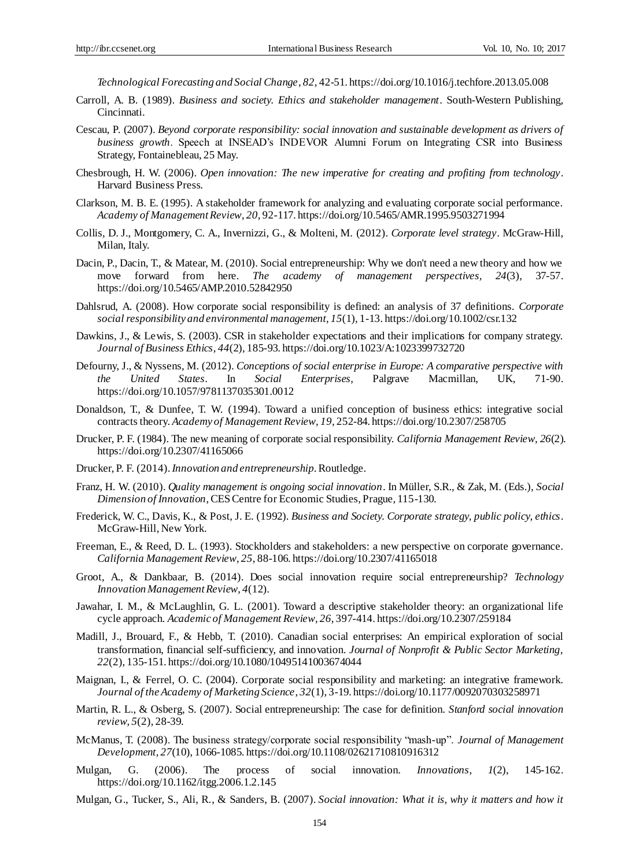*Technological Forecasting and Social Change*, *82*, 42-51. <https://doi.org/10.1016/j.techfore.2013.05.008>

- Carroll, A. B. (1989). *Business and society. Ethics and stakeholder management*. South-Western Publishing, Cincinnati.
- Cescau, P. (2007). *Beyond corporate responsibility: social innovation and sustainable development as drivers of business growth*. Speech at INSEAD's INDEVOR Alumni Forum on Integrating CSR into Business Strategy, Fontainebleau, 25 May.
- Chesbrough, H. W. (2006). *Open innovation: The new imperative for creating and profiting from technology*. Harvard Business Press.
- Clarkson, M. B. E. (1995). A stakeholder framework for analyzing and evaluating corporate social performance. *Academy of Management Review*, *20*, 92-117. <https://doi.org/10.5465/AMR.1995.9503271994>
- Collis, D. J., Montgomery, C. A., Invernizzi, G., & Molteni, M. (2012). *Corporate level strategy*. McGraw-Hill, Milan, Italy.
- Dacin, P., Dacin, T., & Matear, M. (2010). Social entrepreneurship: Why we don't need a new theory and how we move forward from here. *The academy of management perspectives, 24*(3), 37-57. <https://doi.org/10.5465/AMP.2010.52842950>
- Dahlsrud, A. (2008). How corporate social responsibility is defined: an analysis of 37 definitions. *Corporate social responsibility and environmental management*, *15*(1), 1-13. <https://doi.org/10.1002/csr.132>
- Dawkins, J., & Lewis, S. (2003). CSR in stakeholder expectations and their implications for company strategy. *Journal of Business Ethics*, *44*(2), 185-93. <https://doi.org/10.1023/A:1023399732720>
- Defourny, J., & Nyssens, M. (2012). *Conceptions of social enterprise in Europe: A comparative perspective with the United States*. In *Social Enterprises*, Palgrave Macmillan, UK, 71-90. <https://doi.org/10.1057/9781137035301.0012>
- Donaldson, T., & Dunfee, T. W. (1994). Toward a unified conception of business ethics: integrative social contracts theory. *Academy of Management Review*, *19*, 252-84. <https://doi.org/10.2307/258705>
- Drucker, P. F. (1984). The new meaning of corporate social responsibility. *California Management Review*, *26*(2). <https://doi.org/10.2307/41165066>
- Drucker, P. F. (2014). *Innovation and entrepreneurship*. Routledge.
- Franz, H. W. (2010). *Quality management is ongoing social innovation*. In Müller, S.R., & Zak, M. (Eds.), *Social Dimension of Innovation*, CES Centre for Economic Studies, Prague, 115-130.
- Frederick, W. C., Davis, K., & Post, J. E. (1992). *Business and Society. Corporate strategy, public policy, ethics*. McGraw-Hill, New York.
- Freeman, E., & Reed, D. L. (1993). Stockholders and stakeholders: a new perspective on corporate governance. *California Management Review*, *25*, 88-106. <https://doi.org/10.2307/41165018>
- Groot, A., & Dankbaar, B. (2014). Does social innovation require social entrepreneurship? *Technology Innovation Management Review*, *4*(12).
- Jawahar, I. M., & McLaughlin, G. L. (2001). Toward a descriptive stakeholder theory: an organizational life cycle approach. *Academic of Management Review*, *26*, 397-414. <https://doi.org/10.2307/259184>
- Madill, J., Brouard, F., & Hebb, T. (2010). Canadian social enterprises: An empirical exploration of social transformation, financial self-sufficiency, and innovation. *Journal of Nonprofit & Public Sector Marketing, 22*(2), 135-151. <https://doi.org/10.1080/10495141003674044>
- Maignan, I., & Ferrel, O. C. (2004). Corporate social responsibility and marketing: an integrative framework. *Journal of the Academy of Marketing Science*, *32*(1), 3-19. <https://doi.org/10.1177/0092070303258971>
- Martin, R. L., & Osberg, S. (2007). Social entrepreneurship: The case for definition. *Stanford social innovation review*, *5*(2), 28-39.
- McManus, T. (2008). The business strategy/corporate social responsibility "mash-up". *Journal of Management Development*, *27*(10), 1066-1085. <https://doi.org/10.1108/02621710810916312>
- Mulgan, G. (2006). The process of social innovation. *Innovations*, *1*(2), 145-162. <https://doi.org/10.1162/itgg.2006.1.2.145>
- Mulgan, G., Tucker, S., Ali, R., & Sanders, B. (2007). *Social innovation: What it is, why it matters and how it*